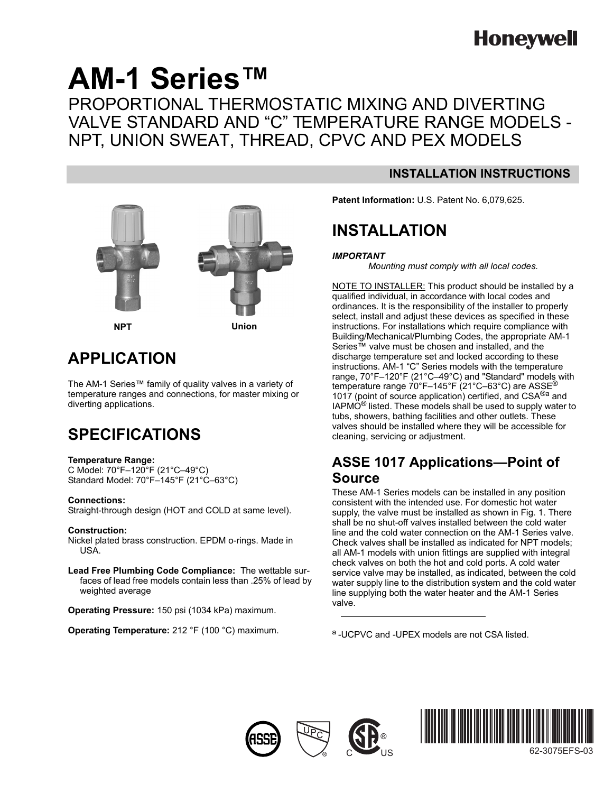# **Honeywell**

# **AM-1 Series™** PROPORTIONAL THERMOSTATIC MIXING AND DIVERTING VALVE STANDARD AND "C" TEMPERATURE RANGE MODELS - NPT, UNION SWEAT, THREAD, CPVC AND PEX MODELS



## **APPLICATION**

The AM-1 Series™ family of quality valves in a variety of temperature ranges and connections, for master mixing or diverting applications.

## **SPECIFICATIONS**

### **Temperature Range:**

C Model: 70°F–120°F (21°C–49°C) Standard Model: 70°F–145°F (21°C–63°C)

### **Connections:**

Straight-through design (HOT and COLD at same level).

#### **Construction:**

Nickel plated brass construction. EPDM o-rings. Made in USA.

**Lead Free Plumbing Code Compliance:** The wettable surfaces of lead free models contain less than .25% of lead by weighted average

**Operating Pressure:** 150 psi (1034 kPa) maximum.

**Operating Temperature:** 212 °F (100 °C) maximum.

### **INSTALLATION INSTRUCTIONS**

**Patent Information:** U.S. Patent No. 6,079,625.

## **INSTALLATION**

### *IMPORTANT*

*Mounting must comply with all local codes.*

NOTE TO INSTALLER: This product should be installed by a qualified individual, in accordance with local codes and ordinances. It is the responsibility of the installer to properly select, install and adjust these devices as specified in these instructions. For installations which require compliance with Building/Mechanical/Plumbing Codes, the appropriate AM-1 Series™ valve must be chosen and installed, and the discharge temperature set and locked according to these instructions. AM-1 "C" Series models with the temperature range, 70°F–120°F (21°C–49°C) and "Standard" models with temperature range 70°F-145°F (21°C-63°C) are ASSE<sup>®</sup> 1017 (point of source application) certified, and CSA<sup>®a</sup> and  $IAPMO^{\circledR}$  listed. These models shall be used to supply water to tubs, showers, bathing facilities and other outlets. These valves should be installed where they will be accessible for cleaning, servicing or adjustment.

### **ASSE 1017 Applications—Point of Source**

These AM-1 Series models can be installed in any position consistent with the intended use. For domestic hot water supply, the valve must be installed as shown in Fig. 1. There shall be no shut-off valves installed between the cold water line and the cold water connection on the AM-1 Series valve. Check valves shall be installed as indicated for NPT models; all AM-1 models with union fittings are supplied with integral check valves on both the hot and cold ports. A cold water service valve may be installed, as indicated, between the cold water supply line to the distribution system and the cold water line supplying both the water heater and the AM-1 Series valve.

a -UCPVC and -UPEX models are not CSA listed.







62-3075EFS-03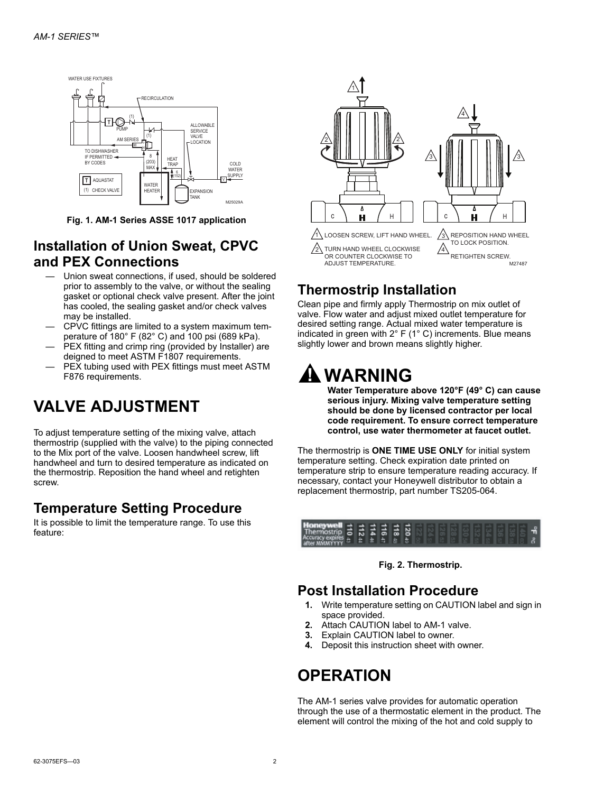

**Fig. 1. AM-1 Series ASSE 1017 application**

### **Installation of Union Sweat, CPVC and PEX Connections**

- Union sweat connections, if used, should be soldered prior to assembly to the valve, or without the sealing gasket or optional check valve present. After the joint has cooled, the sealing gasket and/or check valves may be installed.
- CPVC fittings are limited to a system maximum temperature of 180° F (82° C) and 100 psi (689 kPa).
- PEX fitting and crimp ring (provided by Installer) are deigned to meet ASTM F1807 requirements.
- PEX tubing used with PEX fittings must meet ASTM F876 requirements.

## **VALVE ADJUSTMENT**

To adjust temperature setting of the mixing valve, attach thermostrip (supplied with the valve) to the piping connected to the Mix port of the valve. Loosen handwheel screw, lift handwheel and turn to desired temperature as indicated on the thermostrip. Reposition the hand wheel and retighten screw.

### **Temperature Setting Procedure**

It is possible to limit the temperature range. To use this feature:



### **Thermostrip Installation**

Clean pipe and firmly apply Thermostrip on mix outlet of valve. Flow water and adjust mixed outlet temperature for desired setting range. Actual mixed water temperature is indicated in green with 2° F (1° C) increments. Blue means slightly lower and brown means slightly higher.

# **WARNING**

**Water Temperature above 120°F (49° C) can cause serious injury. Mixing valve temperature setting should be done by licensed contractor per local code requirement. To ensure correct temperature control, use water thermometer at faucet outlet.**

The thermostrip is **ONE TIME USE ONLY** for initial system temperature setting. Check expiration date printed on temperature strip to ensure temperature reading accuracy. If necessary, contact your Honeywell distributor to obtain a replacement thermostrip, part number TS205-064.



**Fig. 2. Thermostrip.**

### **Post Installation Procedure**

- **1.** Write temperature setting on CAUTION label and sign in space provided.
- **2.** Attach CAUTION label to AM-1 valve.
- **3.** Explain CAUTION label to owner.
- **4.** Deposit this instruction sheet with owner.

## **OPERATION**

The AM-1 series valve provides for automatic operation through the use of a thermostatic element in the product. The element will control the mixing of the hot and cold supply to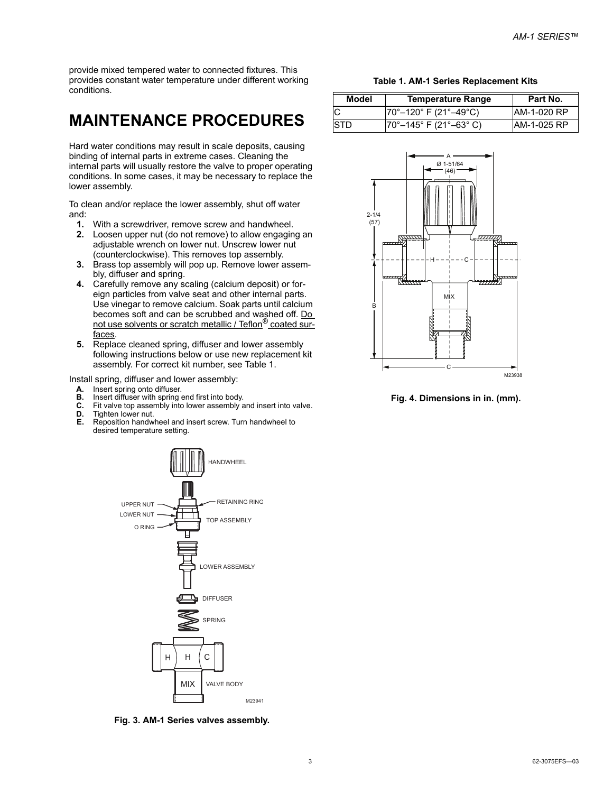provide mixed tempered water to connected fixtures. This provides constant water temperature under different working conditions.

## **MAINTENANCE PROCEDURES**

Hard water conditions may result in scale deposits, causing binding of internal parts in extreme cases. Cleaning the internal parts will usually restore the valve to proper operating conditions. In some cases, it may be necessary to replace the lower assembly.

To clean and/or replace the lower assembly, shut off water and:

- **1.** With a screwdriver, remove screw and handwheel.
- **2.** Loosen upper nut (do not remove) to allow engaging an adjustable wrench on lower nut. Unscrew lower nut (counterclockwise). This removes top assembly.
- **3.** Brass top assembly will pop up. Remove lower assembly, diffuser and spring.
- **4.** Carefully remove any scaling (calcium deposit) or foreign particles from valve seat and other internal parts. Use vinegar to remove calcium. Soak parts until calcium becomes soft and can be scrubbed and washed off. Do not use solvents or scratch metallic / Teflon<sup>®</sup> coated surfaces.
- **5.** Replace cleaned spring, diffuser and lower assembly following instructions below or use new replacement kit assembly. For correct kit number, see Table 1.

Install spring, diffuser and lower assembly:

- **A.** Insert spring onto diffuser.<br>**B.** Insert diffuser with spring a
- **B.** Insert diffuser with spring end first into body.<br>**C.** Fit valve top assembly into lower assembly a
- Fit valve top assembly into lower assembly and insert into valve.
- **D.** Tighten lower nut.<br>**E.** Reposition handwi
- **E.** Reposition handwheel and insert screw. Turn handwheel to desired temperature setting.



**Fig. 3. AM-1 Series valves assembly.**

**Table 1. AM-1 Series Replacement Kits**

| Model | Temperature Range                         | Part No.    |
|-------|-------------------------------------------|-------------|
|       | $ 70^{\circ} - 120^{\circ}$ F (21°–49°C)  | AM-1-020 RP |
| 'STD  | $ 70^{\circ} - 145^{\circ}$ F (21°–63° C) | AM-1-025 RP |



**Fig. 4. Dimensions in in. (mm).**